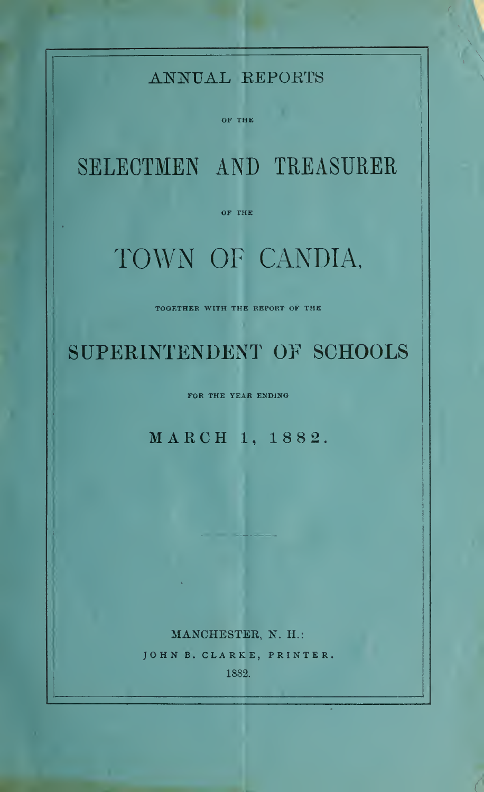MANCHESTER, N. H.: JOHN B. CLARKE, PRINTER, 1882.

## MARCH 1, 1882.

FOR THE YEAR ENDING

TOGETHER WITH THE REPOKT OF THE

SUPERINTENDENT OF SCHOOLS

# TOWN OF CANDIA,

SELECTMEN AND TREASURER

OF THE

OF THE

## ANNUAL EEPOETS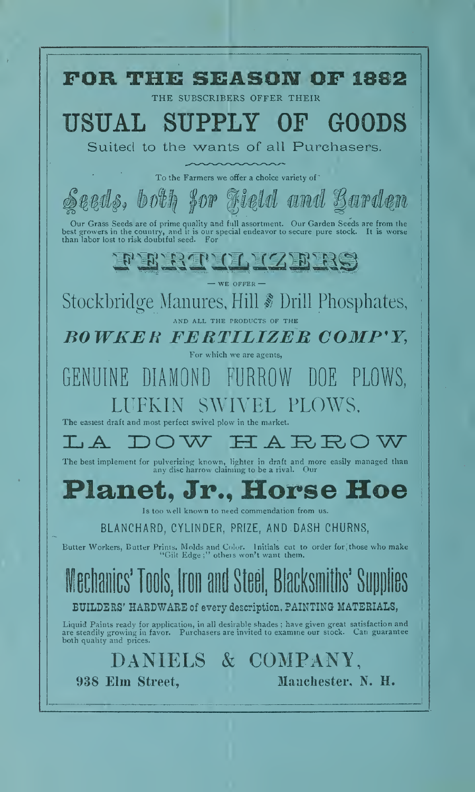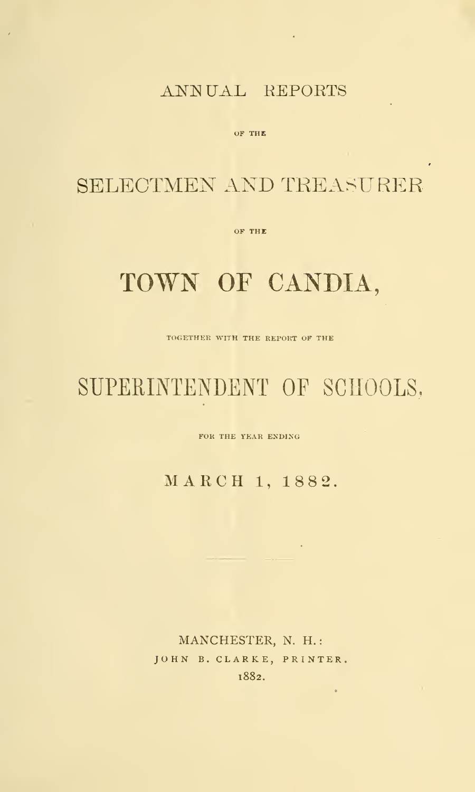## ANNUAL REPORTS

 $\sim 10^{-1}$ 

OF THE

## SELECTMEN AND TREASURER

OF THE

# TOWN OF CANDIA,

TOGETHER WITH THE REPORT OF THE

# SUPERINTENDENT OF SCHOOLS,

FOR THE YEAR ENDING

MARCH 1, 1882

MANCHESTER, N. H. JOHN B. CLARKE, PRINTER. 1882.

 $\epsilon$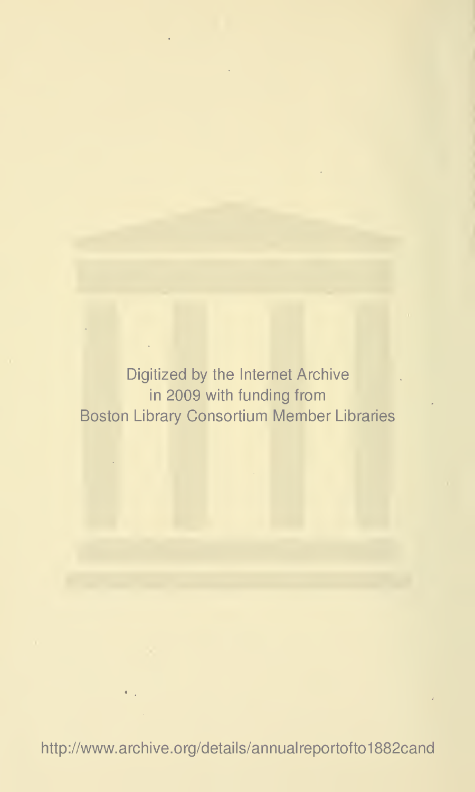Digitized by the Internet Archive in 2009 with funding from Boston Library Consortium Member Libraries

http://www.archive.org/details/annualreportofto1882cand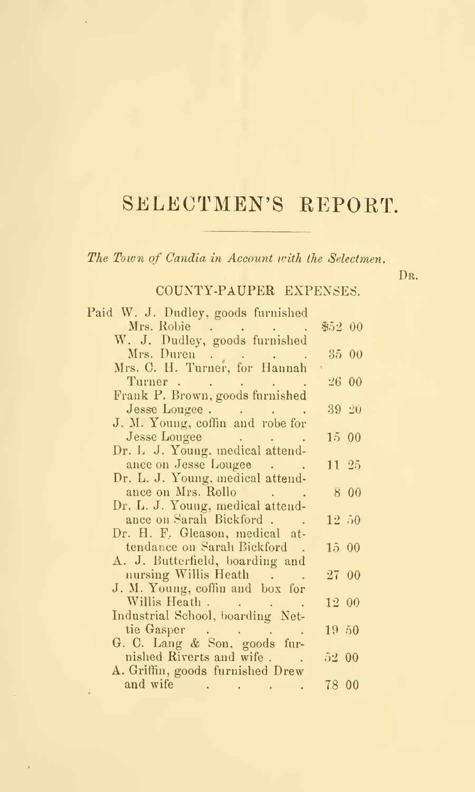# SELECTMEN'S REPORT.

The Town of Candia in Account with the Selectmen.

l,

D<sub>R</sub>.

## COUNTY-PAUPER EXPENSES.

| Paid W. J. Dudley, goods furnished                       |          |  |
|----------------------------------------------------------|----------|--|
| Mrs. Robie                                               | \$5200   |  |
| W. J. Dudley, goods furnished                            |          |  |
|                                                          | 35 00    |  |
|                                                          |          |  |
| Turner                                                   | 26 00    |  |
| Frank P. Brown, goods furnished                          |          |  |
| Jesse Lougee.                                            | 39, 20   |  |
| J. M. Young, coffin and robe for                         |          |  |
| Jesse Lougee<br>and the company of the company           | 15 00    |  |
| Dr. L. J. Young, medical attend-                         |          |  |
| ance on Jesse Lougee<br>Dr. L. J. Young, medical attend- | 11 25    |  |
| ance on Mrs. Rollo                                       | 8 00     |  |
| Dr. L. J. Young, medical attend-                         |          |  |
| ance on Sarah Bickford.                                  | 12, 50   |  |
| Dr. H. F. Gleason, medical at-                           |          |  |
| tendance on Sarah Bickford.                              | 1500     |  |
| A. J. Butterfield, boarding and                          |          |  |
| nursing Willis Heath                                     | 27 00    |  |
| J. M. Young, coffin and box for                          |          |  |
| Willis Heath                                             | 12 00    |  |
| Industrial School, boarding Net-                         |          |  |
| tie Gasper                                               | $19\,50$ |  |
| G. C. Lang & Son, goods fur-                             |          |  |
| nished Riverts and wife                                  | 52 00    |  |
| A. Griffin, goods furnished Drew                         |          |  |
| and wife                                                 | 78 00    |  |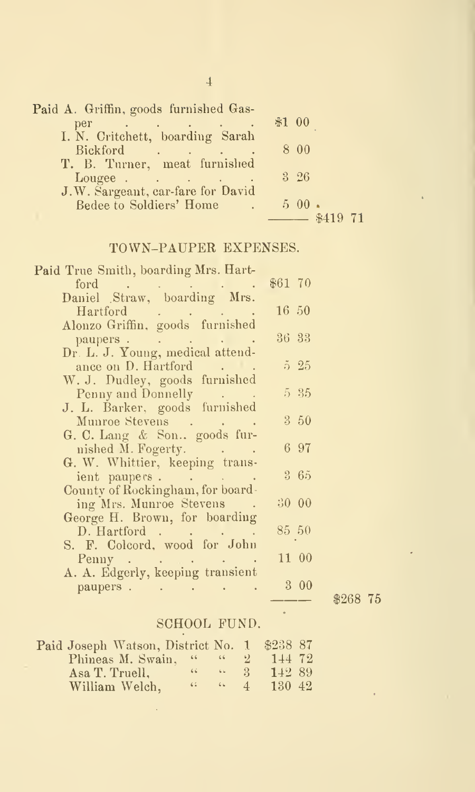| Paid A. Griffin, goods furnished Gas-                  |             |
|--------------------------------------------------------|-------------|
|                                                        | $$1\ 00$    |
|                                                        |             |
| Bickford                                               | 8 0 0       |
| T. B. Turner, meat furnished                           |             |
| Lougee                                                 | $3\quad,26$ |
| J.W. Sargeant, car-fare for David                      |             |
| <b>Bedee to Soldiers' Home</b><br><b>All Contracts</b> | $5\,00$ .   |
|                                                        | $-$ \$419   |
|                                                        |             |

## TOWN-PAUPER EXPENSES.

| Paid True Smith, boarding Mrs. Hart-                                                                                                                    |            |  |
|---------------------------------------------------------------------------------------------------------------------------------------------------------|------------|--|
|                                                                                                                                                         | $$61$ $70$ |  |
|                                                                                                                                                         |            |  |
| Hartford                                                                                                                                                | 16, 50     |  |
| Hartford<br>Alonzo Griffin, goods furnished                                                                                                             |            |  |
| paupers.<br>$\mathcal{L}^{\mathcal{A}}$ and $\mathcal{L}^{\mathcal{A}}$ are $\mathcal{L}^{\mathcal{A}}$ . The following the $\mathcal{L}^{\mathcal{A}}$ | 36 33      |  |
| Dr. L. J. Young, medical attend-                                                                                                                        |            |  |
| ance on D. Hartford                                                                                                                                     | $5\,25$    |  |
| W. J. Dudley, goods furnished                                                                                                                           | 5 35       |  |
| Penny and Donnelly                                                                                                                                      |            |  |
| J. L. Barker, goods furnished<br>Munroe Stevens                                                                                                         | 3 50       |  |
| G. C. Lang $\&$ Son goods fur-                                                                                                                          |            |  |
| nished M. Fogerty.<br><b>Contract Administration</b>                                                                                                    | 6 97       |  |
| G. W. Whittier, keeping trans-                                                                                                                          |            |  |
| ient paupers.                                                                                                                                           | 365        |  |
| County of Rockingham, for board-                                                                                                                        |            |  |
| ing Mrs. Munroe Stevens .                                                                                                                               | 30 00      |  |
| George H. Brown, for boarding                                                                                                                           |            |  |
| D. Hartford                                                                                                                                             | 85 50      |  |
| S. F. Colcord, wood for John                                                                                                                            |            |  |
| Penny                                                                                                                                                   | 1100       |  |
| A. A. Edgerly, keeping transient                                                                                                                        |            |  |
| paupers.                                                                                                                                                | $3^-$      |  |

\$268 75

 $\ddot{\phantom{0}}$ 

## SCHOOL FUND.

| Paid Joseph Watson, District No. 1 |           |          |              | \$23887 |  |
|------------------------------------|-----------|----------|--------------|---------|--|
| Phineas M. Swain, " "              |           |          |              | 144 72  |  |
| Asa T. Truell.                     | $66 -$    | 6.6      | $-37$        | 142 89  |  |
| William Welch,                     | $6.2 - 1$ | $66 - 7$ | $\mathbf{4}$ | 130 42  |  |

 $\bar{\beta}$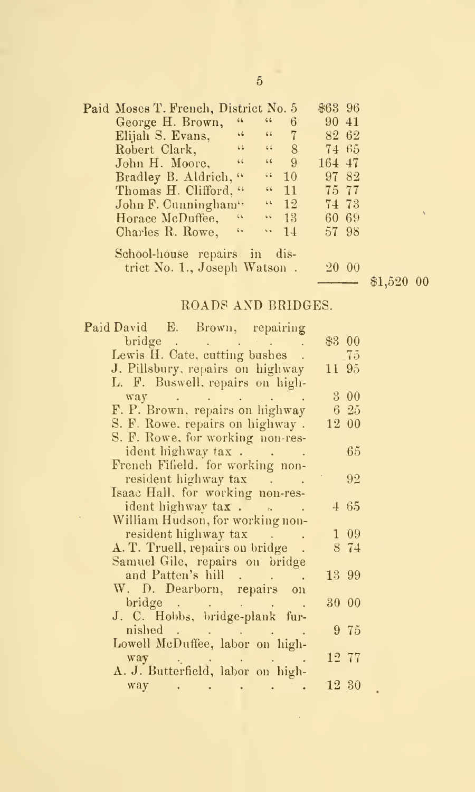| Paid Moses T. French, District No. 5 |                              |                          | $$63$ 96     |  |                  |
|--------------------------------------|------------------------------|--------------------------|--------------|--|------------------|
| $\,$ 6 $\,$<br>George H. Brown,      | $\,6.6$                      | 6                        | $90\;41$     |  |                  |
| Elijah S. Evans, $\cdots$ 7          |                              |                          | 82 62        |  |                  |
| Robert Clark, "                      | $\mathcal{C}(\mathcal{C})$ . | 8                        | 74 65        |  |                  |
| John H. Moore, "                     | $66 -$                       | 9 <sup>2</sup>           | 164 47       |  |                  |
| Bradley B. Aldrich, "                |                              | (10)                     | 97 82        |  |                  |
| Thomas H. Clifford, "                |                              | $(4 - 11)$               | 75 77        |  |                  |
| John F. Cunningham"                  |                              | $\frac{10}{12}$          | 7473         |  |                  |
| Horace McDuffee, "                   |                              | $\lvert \cdot \rvert$ 13 | 60 69        |  | $\mathfrak{t}_2$ |
| Charles R. Rowe, "                   |                              | $\cdots$ 14              | 57 98        |  |                  |
| School-house repairs in dis-         |                              |                          |              |  |                  |
| trict No. 1., Joseph Watson.         |                              |                          | <b>20 00</b> |  |                  |

20 00

\$1,520 00

## ROADS AND BRIDGES.

| Paid David E. Brown, repairing                                                                          |                  |
|---------------------------------------------------------------------------------------------------------|------------------|
| bridge.<br>$\mathcal{L}^{\mathcal{A}}$ , and the first particle is a set of $\mathcal{L}^{\mathcal{A}}$ | \$3 00           |
| Lewis H. Cate, cutting bushes.                                                                          | - 75             |
| J. Pillsbury, repairs on highway                                                                        | 11 95            |
| L. F. Buswell, repairs on high-                                                                         |                  |
| way .<br>the contract of the contract of the                                                            | 3 00             |
| F. P. Brown, repairs on highway                                                                         | 625              |
| S. F. Rowe, repairs on highway.                                                                         | 12 00            |
| S. F. Rowe, for working non-res-                                                                        |                  |
| ident highway tax                                                                                       | 65               |
| French Fifield. for working non-                                                                        |                  |
| resident highway tax                                                                                    | 92               |
| Isaac Hall, for working non-res-                                                                        |                  |
| ident highway $\text{tax}$ .                                                                            | 465              |
| William Hudson, for working non-                                                                        |                  |
| resident highway tax                                                                                    | $1\overline{09}$ |
| A. T. Truell, repairs on bridge.                                                                        | 8 74             |
| Samuel Gile, repairs on bridge                                                                          |                  |
| and Patten's hill                                                                                       | 13 99            |
| W. D. Dearborn, repairs on                                                                              |                  |
|                                                                                                         | 30 00            |
| J. C. Hobbs, bridge-plank fur-                                                                          |                  |
| nished                                                                                                  | 9 75             |
| Lowell McDuffee, labor on high-                                                                         |                  |
| way<br>والمستوقف والمتعارف والمتعارف                                                                    | $12\,77$         |
| A. J. Butterfield, labor on high-                                                                       |                  |
| way                                                                                                     | 12 30            |
|                                                                                                         |                  |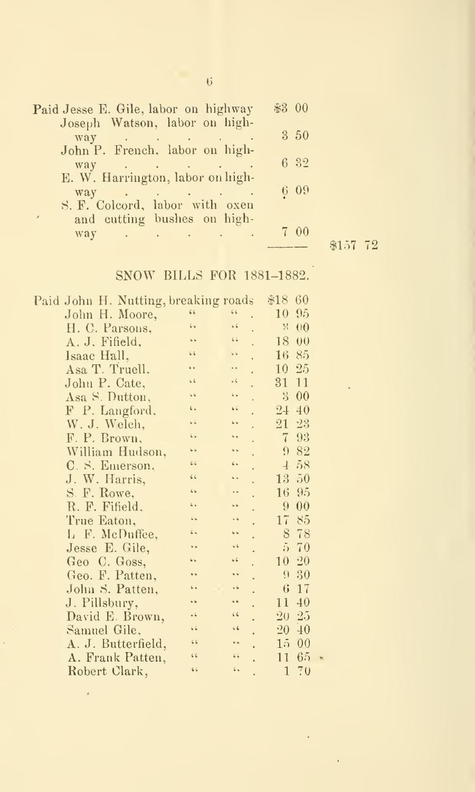| Paid Jesse E. Gile, labor on highway                                                                                                                                                                                                    | \$300 |         |
|-----------------------------------------------------------------------------------------------------------------------------------------------------------------------------------------------------------------------------------------|-------|---------|
| Joseph Watson, labor on high-                                                                                                                                                                                                           |       |         |
| $\text{way}$ and $\text{way}$ are the set of the set of the set of the set of the set of the set of the set of the set of the set of the set of the set of the set of the set of the set of the set of the set of the set of the set of | 3 50  |         |
| John P. French, labor on high-                                                                                                                                                                                                          |       |         |
| $way \rightarrow \rightarrow \rightarrow \rightarrow \rightarrow \rightarrow \rightarrow \rightarrow$                                                                                                                                   | 6 32  |         |
| E. W. Harrington, labor on high-                                                                                                                                                                                                        | 609   |         |
| way<br>S. F. Colcord, labor with oxen                                                                                                                                                                                                   |       |         |
| and cutting bushes on high-                                                                                                                                                                                                             |       |         |
| $way \rightarrow \rightarrow \rightarrow \rightarrow \rightarrow \rightarrow \rightarrow \rightarrow$                                                                                                                                   | 7 00  |         |
|                                                                                                                                                                                                                                         |       | \$157 7 |

## SNOW BILLS FOR 1881-1882.

\$157 72

| Paid John H. Nutting, breaking roads |                      |                      | 60<br>\$18             |
|--------------------------------------|----------------------|----------------------|------------------------|
| John H. Moore,                       | 66                   | 66                   | 95<br>10               |
| H. C. Parsons,                       | 6 <sub>b</sub>       | 56                   | 꼮<br>00                |
| A. J. Fifield,                       | ç.                   | $\sqrt{2}$           | 18<br>00               |
| Isaac Hall,                          | 66                   | 66                   | $16\,$<br>85           |
| Asa T. Truell.                       | G.                   | . .                  | $25\,$<br>10           |
| John P. Cate,                        | 66                   | $\sqrt{2}$           | 31<br>11               |
| Asa S. Dutton,                       | 46                   | 6 <sup>6</sup>       | $\mathbf{S}$<br>$00\,$ |
| F P. Langford,                       | ς.                   | 66                   | 40<br>$2+$             |
| W. J. Welch,                         | G ú                  | $\ddot{\phantom{a}}$ | 23<br>21               |
| F. P. Brown,                         | $\ddot{\phantom{0}}$ | G.                   | 93<br>7                |
| William Hudson,                      |                      | i.                   | 82<br>9                |
| C. S. Emerson,                       | 66                   | $\epsilon$           | 58<br>$\pm$            |
| J. W. Harris,                        | 66                   | ο.                   | 50<br>13               |
| S. F. Rowe,                          | 66                   |                      | 95<br>16               |
| R. F. Fifield,                       | ι.                   | s é                  | 9<br>00                |
| True Eaton,                          | i c                  | $\ddot{\phantom{a}}$ | 17<br>85               |
| L F. McDuffee,                       | $\zeta$              | $\overline{6}$       | 78<br>S                |
| Jesse E. Gile,                       |                      | 66                   | 70<br>$5^{\circ}$      |
| Geo C. Goss,                         | G G                  | $\sqrt{6}$           | 20<br>$10^{-}$         |
| Geo. F. Patten,                      |                      | ç.                   | 30<br>9                |
| John S. Patten,                      |                      | $\sqrt{6}$           | 17<br>6                |
| J. Pillsbury,                        | 4                    | $\ddot{\phantom{1}}$ | 40<br>11               |
| David E. Brown,                      | $\ddot{\phantom{0}}$ | 66                   | 25<br>20               |
| Samuel Gile,                         | 66                   | 66                   | $20^-$<br>40           |
| A. J. Butterfield,                   | 66                   | $\ddot{\phantom{a}}$ | 0 <sub>0</sub><br>15   |
| A. Frank Patten,                     | 66                   | 6.6                  | 65<br>11               |
| Robert Clark,                        | 66                   | $\zeta_{\infty}$     | 70<br>1                |

6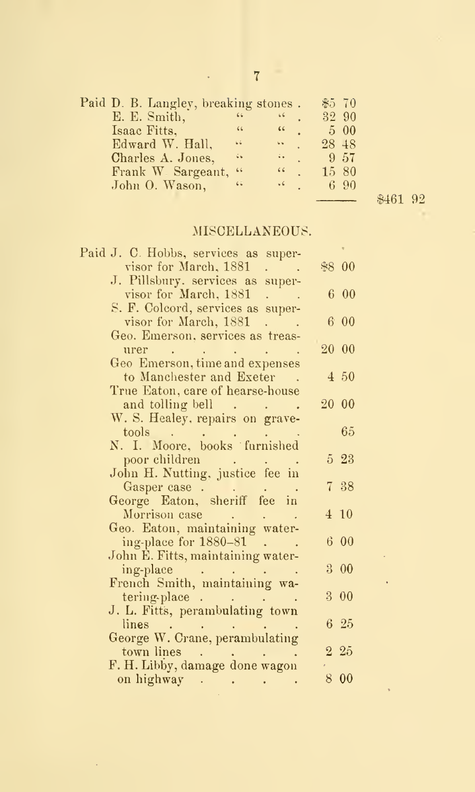| Paid D. B. Langley, breaking stones. |       |      |       | \$570   |
|--------------------------------------|-------|------|-------|---------|
| E. E. Smith,                         | 66    | 66   |       | 32 90   |
| Isaac Fitts,                         | 66    | 66   |       | $5\,00$ |
| Edward W. Hall,                      | 44    | ь.   | 28 48 |         |
| Charles A. Jones,                    | š6    | ÷.   |       | 9,57    |
| Frank W. Sargeant,                   | $-66$ | 66   |       | 15 80   |
| John O. Wason,                       | 65    | $-6$ |       | 6.90    |
|                                      |       |      |       |         |

\$461 92

à. l,

## MISCELLANEOUS.

| Paid J. C. Hobbs, services as super-                                                                             |       |            |
|------------------------------------------------------------------------------------------------------------------|-------|------------|
| visor for March, 1881                                                                                            | \$800 |            |
| J. Pillsbury. services as super-                                                                                 |       |            |
| visor for March, 1881                                                                                            |       | 6 00       |
| S. F. Colcord, services as super-                                                                                |       |            |
| visor for March, 1881<br>an an S                                                                                 |       | 600        |
| Geo. Emerson, services as treas-                                                                                 |       |            |
| urer<br>$\bullet$ . The same $\bullet$                                                                           | 20 00 |            |
| Geo Emerson, time and expenses                                                                                   |       |            |
| to Manchester and Exeter.                                                                                        |       | 4 50       |
| True Eaton, care of hearse-house                                                                                 |       |            |
| and tolling bell                                                                                                 | 20 00 |            |
| W. S. Healey, repairs on grave-                                                                                  |       |            |
|                                                                                                                  |       | 65         |
|                                                                                                                  |       |            |
| poor children<br><b>Carl Corporation</b>                                                                         |       | 5 23       |
| John H. Nutting, justice fee in                                                                                  |       |            |
| Gasper case.                                                                                                     |       | 7 38       |
| George Eaton, sheriff fee in                                                                                     |       |            |
|                                                                                                                  |       | $4 \; 10$  |
| Morrison case<br>$\mathcal{L}^{\mathcal{L}}$ , where $\mathcal{L}^{\mathcal{L}}$ and $\mathcal{L}^{\mathcal{L}}$ |       |            |
| Geo. Eaton, maintaining water-                                                                                   |       |            |
| ing-place for 1880-81                                                                                            |       | 600        |
| John E. Fitts, maintaining water-                                                                                |       |            |
|                                                                                                                  |       | $3\ \ 00$  |
|                                                                                                                  |       |            |
| tering-place<br>J. L. Fitts, perambulating town                                                                  |       | 3 00       |
|                                                                                                                  |       |            |
| lines                                                                                                            |       | $6\quad25$ |
| George W. Crane, perambulating                                                                                   |       |            |
| town lines                                                                                                       |       | $2\,25$    |
| F. H. Libby, damage done wagon                                                                                   |       |            |
| on highway .<br>$\epsilon$ , and $\epsilon$ , and $\epsilon$                                                     |       | 8 00       |

 $\mathcal{L}^{\pm}$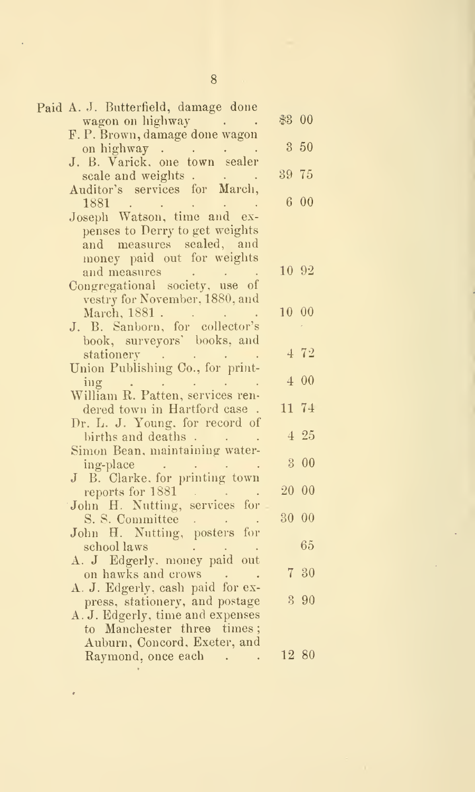| Paid A. J. Butterfield, damage done                                                                                                |        |       |  |
|------------------------------------------------------------------------------------------------------------------------------------|--------|-------|--|
|                                                                                                                                    | \$3 00 |       |  |
|                                                                                                                                    |        |       |  |
| on highway.                                                                                                                        |        | 3 50  |  |
| on highway<br>J. B. Varick, one town sealer                                                                                        |        |       |  |
| scale and weights                                                                                                                  | 39 75  |       |  |
| Auditor's services for March,                                                                                                      |        |       |  |
| 1881<br>$\mathcal{L}(\mathbf{q})$ and $\mathcal{L}(\mathbf{q})$ . The set of $\mathcal{L}(\mathbf{q})$                             |        | 600   |  |
| Joseph Watson, time and ex-                                                                                                        |        |       |  |
| penses to Derry to get weights                                                                                                     |        |       |  |
| and measures sealed, and                                                                                                           |        |       |  |
| money paid out for weights                                                                                                         |        |       |  |
|                                                                                                                                    |        | 10 92 |  |
|                                                                                                                                    |        |       |  |
| vestry for November, 1880, and                                                                                                     |        |       |  |
| March, 1881.<br>J. B. Sanborn, for collector's                                                                                     |        | 10 00 |  |
|                                                                                                                                    |        |       |  |
| book, surveyors' books, and                                                                                                        |        |       |  |
| stationery<br>and a strategic control of                                                                                           |        | 4 72  |  |
| Union Publishing Co., for print-                                                                                                   |        |       |  |
| ing                                                                                                                                |        | 4 00  |  |
| William R. Patten, services ren-                                                                                                   |        |       |  |
| dered town in Hartford case.                                                                                                       |        | 11 74 |  |
| Dr. L. J. Young, for record of                                                                                                     |        |       |  |
|                                                                                                                                    |        | 4 25  |  |
|                                                                                                                                    |        |       |  |
| ing-place<br>J B. Clarke, for printing town                                                                                        |        | 3 00  |  |
|                                                                                                                                    |        |       |  |
| reports for 1881<br>John H. Nutting, services for                                                                                  |        | 20 00 |  |
|                                                                                                                                    |        |       |  |
| S. S. Committee                                                                                                                    |        | 30 00 |  |
| John H. Nutting, posters for                                                                                                       |        | 65    |  |
| school laws<br>$\mathcal{L}^{\text{max}}_{\text{max}}$ and $\mathcal{L}^{\text{max}}_{\text{max}}$<br>A. J Edgerly. money paid out |        |       |  |
| on hawks and crows                                                                                                                 |        | 7 30  |  |
| A. J. Edgerly, cash paid for ex-                                                                                                   |        |       |  |
| press, stationery, and postage                                                                                                     |        | 3 90  |  |
| A. J. Edgerly, time and expenses                                                                                                   |        |       |  |
| to Manchester three times;                                                                                                         |        |       |  |
| Auburn, Concord, Exeter, and                                                                                                       |        |       |  |
| Raymond, once each                                                                                                                 |        | 12 80 |  |
|                                                                                                                                    |        |       |  |

 $\bar{\epsilon}$ 

8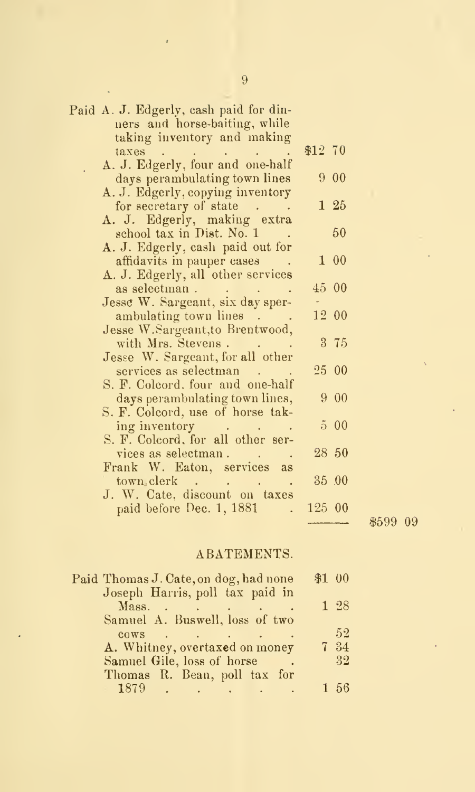| Paid A. J. Edgerly, cash paid for din-<br>ners and horse-baiting, while                                                                            |         |         |  |
|----------------------------------------------------------------------------------------------------------------------------------------------------|---------|---------|--|
| taking inventory and making                                                                                                                        |         |         |  |
| taxes $\cdots$ $\cdots$ $\cdots$                                                                                                                   | \$12 70 |         |  |
| A. J. Edgerly, four and one-half                                                                                                                   |         |         |  |
| days perambulating town lines                                                                                                                      |         | 9 00    |  |
| A. J. Edgerly, copying inventory                                                                                                                   |         |         |  |
| for secretary of state                                                                                                                             |         | $1\,25$ |  |
| A. J. Edgerly, making extra                                                                                                                        |         |         |  |
| school tax in Dist. No. 1                                                                                                                          |         | -50     |  |
| A. J. Edgerly, cash paid out for                                                                                                                   |         |         |  |
| affidavits in pauper cases                                                                                                                         |         | 1 00    |  |
| A. J. Edgerly, all other services                                                                                                                  |         |         |  |
| as selectman.<br>$\mathcal{L}^{\mathcal{L}}$ , and $\mathcal{L}^{\mathcal{L}}$ , and $\mathcal{L}^{\mathcal{L}}$ , and $\mathcal{L}^{\mathcal{L}}$ | 45 00   |         |  |
| Jesse W. Sargeant, six day sper-                                                                                                                   |         |         |  |
| ambulating town lines                                                                                                                              |         | 12 00   |  |
| Jesse W. Sargeant, to Brentwood,                                                                                                                   |         |         |  |
| with Mrs. Stevens.                                                                                                                                 |         | 3 75    |  |
| Jesse W. Sargeant, for all other                                                                                                                   |         |         |  |
| services as selectman                                                                                                                              |         | 25 00   |  |
| S. F. Colcord, four and one-half                                                                                                                   |         |         |  |
| days perambulating town lines,                                                                                                                     |         | 9 00    |  |
| S. F. Colcord, use of horse tak-                                                                                                                   |         |         |  |
| ing inventory                                                                                                                                      |         | 500     |  |
| S. F. Colcord, for all other ser-                                                                                                                  |         |         |  |
| vices as selectman.                                                                                                                                |         | 28 50   |  |
| Frank W. Eaton, services as                                                                                                                        |         |         |  |
| town.clerk                                                                                                                                         |         | 35 .00  |  |
| J. W. Cate, discount on taxes                                                                                                                      |         |         |  |
| paid before Dec. 1, 1881<br>$\sim 10^{-11}$                                                                                                        | 125 00  |         |  |
|                                                                                                                                                    |         |         |  |

## ABATEMENTS.

i599 09

| Paid Thomas J. Cate, on dog, had none                       | \$1 00 |      |
|-------------------------------------------------------------|--------|------|
| Joseph Harris, poll tax paid in                             |        |      |
| $Mass.$ $\qquad \qquad$                                     |        | 1 28 |
| Samuel A. Buswell, loss of two                              |        |      |
| $\cos$                                                      |        | 52   |
| A. Whitney, overtaxed on money                              |        | 7 34 |
| Samuel Gile, loss of horse                                  |        | -32  |
| Thomas R. Bean, poll tax for                                |        |      |
| <b>1879</b><br>the contract of the contract of the contract |        | 1.56 |
|                                                             |        |      |

 $\ddot{\phantom{0}}$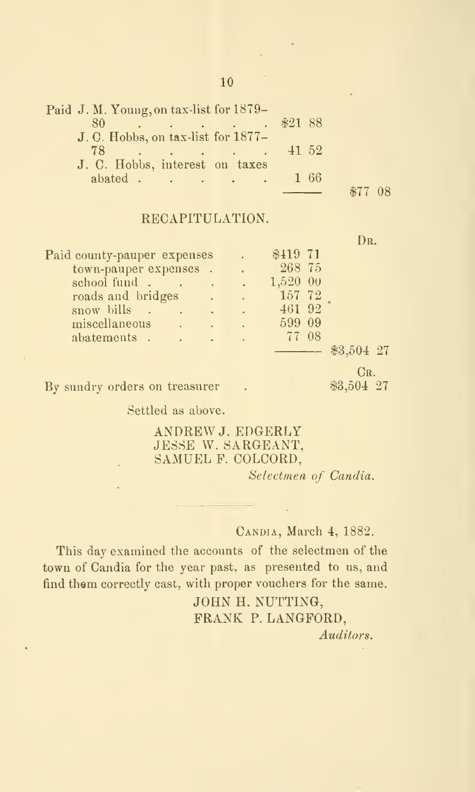| Paid J. M. Young, on tax-list for 1879–                                                                                                                                                                                                                                                                                                                    |       |  |
|------------------------------------------------------------------------------------------------------------------------------------------------------------------------------------------------------------------------------------------------------------------------------------------------------------------------------------------------------------|-------|--|
| $\therefore$ $\therefore$ $\qquad$ $\qquad$ $\qquad$ $\qquad$ $\qquad$ $\qquad$ $\qquad$ $\qquad$ $\qquad$ $\qquad$ $\qquad$ $\qquad$ $\qquad$ $\qquad$ $\qquad$ $\qquad$ $\qquad$ $\qquad$ $\qquad$ $\qquad$ $\qquad$ $\qquad$ $\qquad$ $\qquad$ $\qquad$ $\qquad$ $\qquad$ $\qquad$ $\qquad$ $\qquad$ $\qquad$ $\qquad$ $\qquad$ $\qquad$ $\qquad$<br>80 |       |  |
| J. C. Hobbs, on tax-list for 1877-                                                                                                                                                                                                                                                                                                                         |       |  |
| 78<br>and the company of the company of the company of the company of the company of                                                                                                                                                                                                                                                                       | 41 52 |  |
| J. C. Hobbs, interest on taxes                                                                                                                                                                                                                                                                                                                             |       |  |
| abated                                                                                                                                                                                                                                                                                                                                                     | 1 66  |  |
|                                                                                                                                                                                                                                                                                                                                                            |       |  |

## RECAPITULATION.

|                                                  |                                                                                                                                                                                                                                      | DR.          |
|--------------------------------------------------|--------------------------------------------------------------------------------------------------------------------------------------------------------------------------------------------------------------------------------------|--------------|
| Paid county-pauper expenses                      | \$419 71                                                                                                                                                                                                                             |              |
| town-pauper expenses.                            | 268 75                                                                                                                                                                                                                               |              |
| school fund.<br><b>Contract Contract</b>         | 1,520 00                                                                                                                                                                                                                             |              |
| roads and bridges<br><b>AL</b> . 7               | 157 72                                                                                                                                                                                                                               |              |
| snow bills.<br><b>Contract Contract Contract</b> | 461 92                                                                                                                                                                                                                               |              |
| miscellaneous<br><b>A</b>                        | 599 09                                                                                                                                                                                                                               |              |
| abatements.<br><b>Contractor</b>                 | 77 08                                                                                                                                                                                                                                |              |
|                                                  | <u> The Communication of the Communication of the Communication of the Communication of the Communication of the Communication of the Communication of the Communication of the Communication of the Communication of the Commun</u> | $$3,504$ 27  |
|                                                  |                                                                                                                                                                                                                                      | $_{\rm CR.}$ |
| By sundry orders on treasurer                    |                                                                                                                                                                                                                                      | \$3,504 27   |

Settled as above.

## ANDREW J. EDGERLY JESSE W. SARGEANT, SAMUEL F. COLCORD,

Selectmen of Candia.

## CANDIA, March 4, 1882.

This day examined the accounts of the selectmen of the town of Candia for the year past, as presented to us, and find them correctly cast, with proper vouchers for the same.

> JOHN H. NUTTING, FRANK P. LANGFORD. Auditors.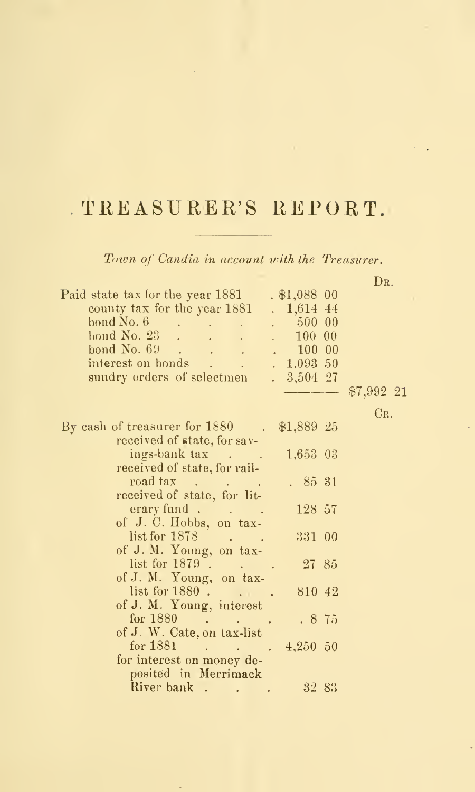# TREASURER'S REPORT.

Town of Candia in account with the Treasurer.

D<sub>R</sub>.

| Paid state tax for the year 1881<br>$. $1,088$ 00<br>county tax for the year 1881<br>$. 1,614$ 44<br>bond No. 6 500 00<br>bond No. 23 100 00<br>bond No. $69$ 100 00<br>. 1,093.50<br>$. \ 3,504 \ 27$<br>sundry orders of selectmen | $$7,992$ 21  |
|--------------------------------------------------------------------------------------------------------------------------------------------------------------------------------------------------------------------------------------|--------------|
|                                                                                                                                                                                                                                      | $_{\rm CR.}$ |
| \$1,889 25<br>By eash of treasurer for 1880 .<br>received of state, for sav-                                                                                                                                                         |              |
| 1,653 03<br>ings-bank tax                                                                                                                                                                                                            |              |
| received of state, for rail-                                                                                                                                                                                                         |              |
| road tax<br>. 8531                                                                                                                                                                                                                   |              |
| received of state, for lit-<br>128 57                                                                                                                                                                                                |              |
| erary fund<br>of J.C. Hobbs, on tax-                                                                                                                                                                                                 |              |
| list for 1878.<br>331 00                                                                                                                                                                                                             |              |
| of J. M. Young, on tax-                                                                                                                                                                                                              |              |
| list for 1879.<br>2785                                                                                                                                                                                                               |              |
| of J. M. Young, on tax-<br>list for 1880.<br>810 42                                                                                                                                                                                  |              |
| of J. M. Young, interest                                                                                                                                                                                                             |              |
| for $1880$<br>.875                                                                                                                                                                                                                   |              |
| of J. W. Cate, on tax-list                                                                                                                                                                                                           |              |
| for $1881$ 4,250 50                                                                                                                                                                                                                  |              |
| for interest on money de-<br>posited in Merrimack                                                                                                                                                                                    |              |
| River bank<br>3283                                                                                                                                                                                                                   |              |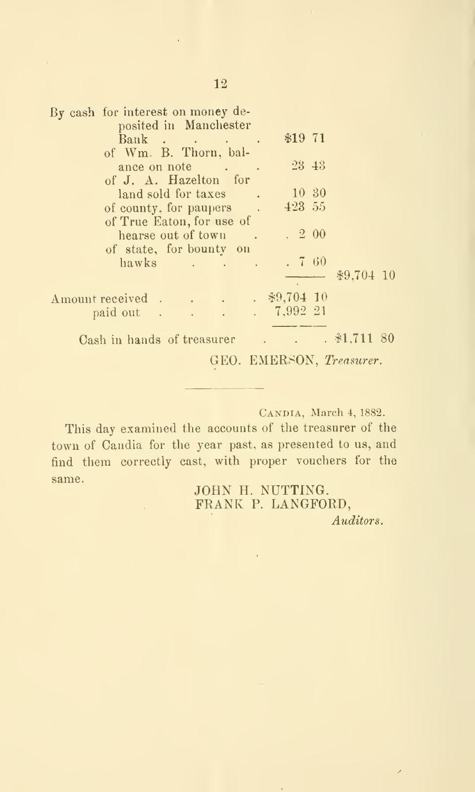| By cash for interest on money de- |                       |  |                                   |                                        |  |
|-----------------------------------|-----------------------|--|-----------------------------------|----------------------------------------|--|
|                                   | posited in Manchester |  |                                   |                                        |  |
|                                   | Bank                  |  | \$1971                            |                                        |  |
| of Wm. B. Thorn, bal-             |                       |  |                                   |                                        |  |
|                                   | ance on note          |  | $23 \; 43$                        |                                        |  |
| of J. A. Hazelton for             |                       |  |                                   |                                        |  |
| land sold for taxes .             |                       |  | $-10\,$ 30                        |                                        |  |
| of county, for paupers.           |                       |  | 423 55                            |                                        |  |
| of True Eaton, for use of         |                       |  |                                   |                                        |  |
|                                   | hearse out of town.   |  | $\cdot$ 2 00                      |                                        |  |
| of state, for bounty on           |                       |  |                                   |                                        |  |
|                                   | hawks                 |  | .760                              |                                        |  |
|                                   |                       |  |                                   | \$9,704 10                             |  |
|                                   |                       |  |                                   |                                        |  |
| Amount received \$9,704 10        |                       |  |                                   |                                        |  |
| paid out 7,992 21                 |                       |  |                                   |                                        |  |
|                                   |                       |  |                                   |                                        |  |
| Cash in hands of treasurer        |                       |  | <b>Contract Contract Contract</b> | $. \, \text{\textsterling}1,711 \, 80$ |  |
|                                   |                       |  |                                   | GEO. EMERSON, Treasurer.               |  |

Candia, March 4, 1882.

This day examined the accounts of the treasurer of the town of Candia for the year past, as presented to us, and find them correctly cast, with proper vouchers for the same.<br> **JOHN H. NUTTING.** 

FRANK P. LANGFORD,

Auditors.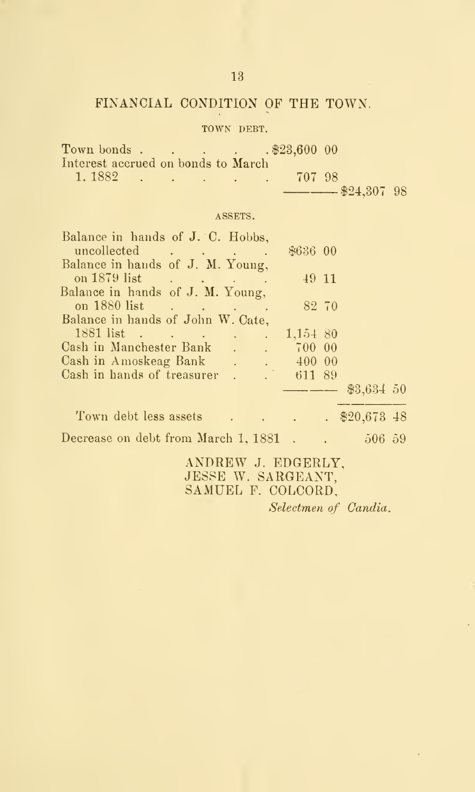## FINANCIAL CONDITION OF THE TOWN.

## TOWN DEBT.

|                                    |  |  | Town bonds \$23,600 00 |                           |  |
|------------------------------------|--|--|------------------------|---------------------------|--|
| Interest accrued on bonds to March |  |  |                        |                           |  |
| $1.1882$                           |  |  | 707 98                 |                           |  |
|                                    |  |  |                        | $\frac{1}{2}$ \$24,307 98 |  |

#### ASSETS.

| Balance in hands of J. C. Hobbs,<br>uncollected              | \$636 00                                                                                                                                                                                                                             |                                                  |  |
|--------------------------------------------------------------|--------------------------------------------------------------------------------------------------------------------------------------------------------------------------------------------------------------------------------------|--------------------------------------------------|--|
| Balance in hands of J. M. Young,                             |                                                                                                                                                                                                                                      |                                                  |  |
| on 1879 list                                                 | 49 11                                                                                                                                                                                                                                |                                                  |  |
| Balance in hands of J. M. Young,                             |                                                                                                                                                                                                                                      |                                                  |  |
| on 1880 list                                                 | 82 70                                                                                                                                                                                                                                |                                                  |  |
| Balance in hands of John W. Cate,                            |                                                                                                                                                                                                                                      |                                                  |  |
| $\mathcal{L}^{\text{max}}$                                   | 1,154 80                                                                                                                                                                                                                             |                                                  |  |
| Cash in Manchester Bank<br>$\ddots$ $\ddots$ $\ddot{700000}$ |                                                                                                                                                                                                                                      |                                                  |  |
| Cash in Amoskeag Bank 400 00                                 |                                                                                                                                                                                                                                      |                                                  |  |
| Cash in hands of treasurer                                   | $-61189$                                                                                                                                                                                                                             |                                                  |  |
|                                                              | <u> The Common Section of the Common Section of the Common Section of the Common Section of the Section of the Section of the Section of the Section of the Section of the Section of the Section of the Section of the Section </u> | $$3,634$ 50                                      |  |
| Town debt less assets                                        |                                                                                                                                                                                                                                      | $\therefore$ $\therefore$ $\frac{$20,673,48}{ }$ |  |
| Decrease on debt from March 1, 1881.                         |                                                                                                                                                                                                                                      | 506, 59                                          |  |

ANDREW J. EDGERLY, JESSE W. SARGEANT, SAMUEL F. COLCORD,

Selectmen of Candia.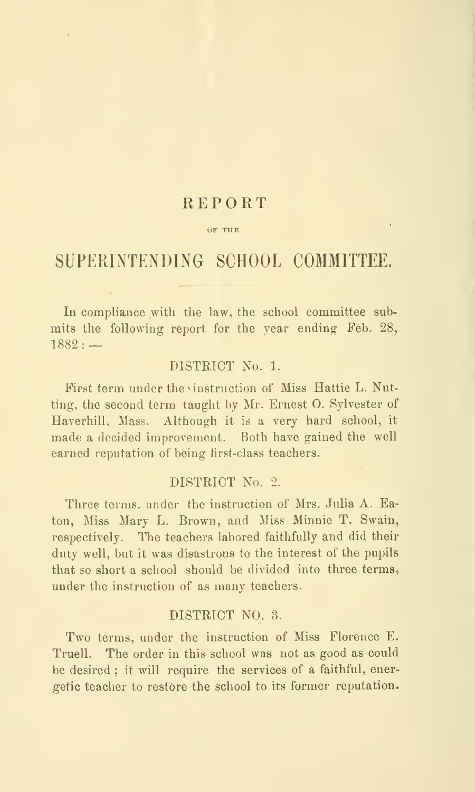## REPORT

#### OF THE

## SUPERINTENDING SCHOOL COMMITTEE.

In compliance with the law, the school committee submits the following report for the year ending Feb. 28,  $1882:$  —

## DISTRICT No. 1.

First term under the instruction of Miss Hattie L. Nutting, the second term taught by Mr. Ernest 0. Sylvester of Haverhill, Mass. Although it is a very hard school, it made a decided improvement. Both have gained the well earned reputation of being first-class teachers.

#### DISTRICT No. 2.

Three terms, under the instruction of Mrs. Julia A. Eaton, Miss Mary L. Brown, and Miss Minnie T. Swain, respectively. The teachers labored faithfully and did their duty well, but it was disastrous to the interest of the pupils that so short a school should be divided into three terms, under the instruction of as many teachers.

#### DISTRICT NO. 3.

Two terms, under the instruction of Miss Florence E. Truell. The order in this school was not as good as could be desired; it will require the services of a faithful, energetic teacher to restore the school to its former reputation.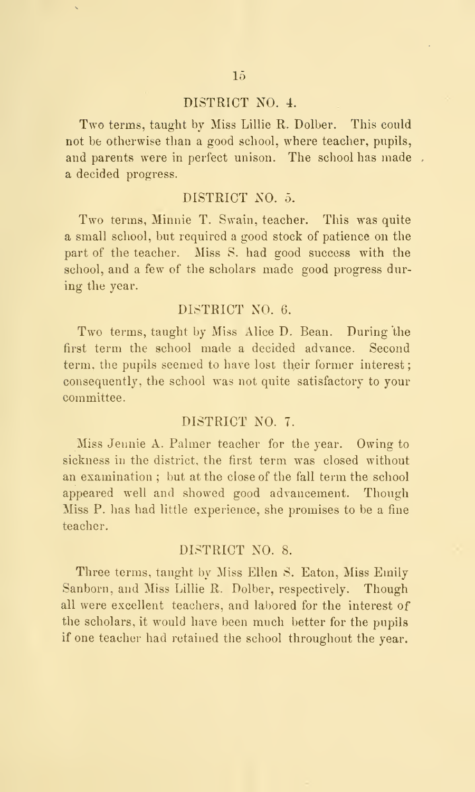#### DISTRICT NO. 4.

Two terms, taught by Miss Lillie R. Dolber. This could not be otherwise than a good school, where teacher, pupils, and parents were in perfect unison. The school has made a decided progress.

#### DISTRICT NO. 5.

Two terms, Minnie T. Swain, teacher. This was quite a small school, but required a good stock of patience on the part of the teacher. Miss S. had good success with the school, and a few of the scholars made good progress during the year.

#### DISTRICT XO. 6.

Two terms, taught by Miss Alice D. Bean. During the first term the school made a decided advance. Second term, the pupils seemed to have lost their former interest; consequently, the school was not quite satisfactory to your committee.

## DISTRICT NO. 7.

Miss Jennie A. Palmer teacher for the year. Owing to sickness in the district, the first term was closed without an examination ; but at the close of the fall term the school appeared well and showed good advancement. Though Miss P. has had little experience, she promises to be a fine teacher,

## DLSTRICT NO. 8.

Three terms, taught by Miss Ellen S. Eaton, Miss Emily Sanborn, and Miss Lillie R. Dolber, respectively. Though all were excellent teachers, and labored for the interest of the scholars, it would have been much better for the pupils if one teacher had retained the scbool throughout the year.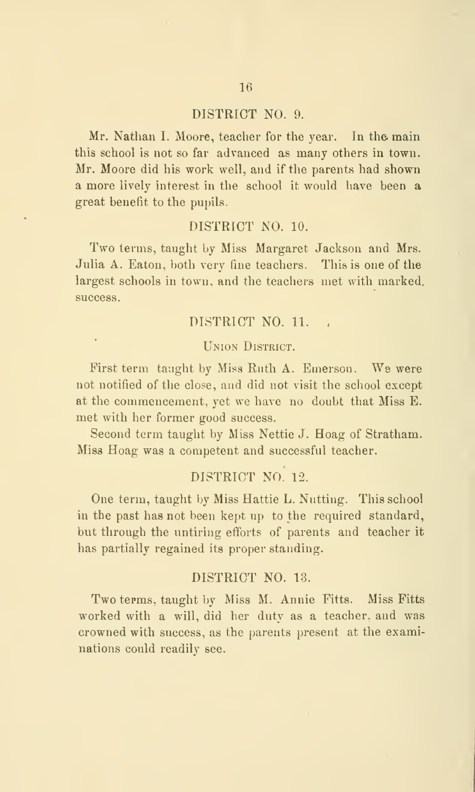#### DISTRICT NO. 9.

Mr. Nathan I. Moore, teacher for the year. In the main this school is not so far advanced as many others in town. Mr. Moore did his work well, and if the parents had shown a more lively interest in the school it would have been a great benefit to the pupils.

#### DISTRICT NO. 10.

Two terms, taught by Miss Margaret Jackson and Mrs. Julia A. Eaton, both very fine teachers. This is one of the largest schools in town, and the teachers met with marked, success.

## DISTRICT NO. 11.

#### Union District.

First term taught by Miss Ruth A. Emerson. We were not notified of the close, and did not visit the school except at the commencement, yet we have no doubt that Miss B. met with her former good success.

Second term taught by Miss Nettie J. Hoag of Stratham. Miss Hoag was a competent and successful teacher.

## DISTRICT NO. 12.

One term, taught by Miss Hattie L. Nutting. This school in the past has not been kept up to the required standard, but through the untiring efforts of parents and teacher it has partially regained its proper standing.

#### DISTRICT NO. 13.

Two terms, taught by Miss M. Annie Fitts. Miss Fitts worked with a will, did her duty as a teacher, and was crowned with success, as the parents present at the examinations could readily see.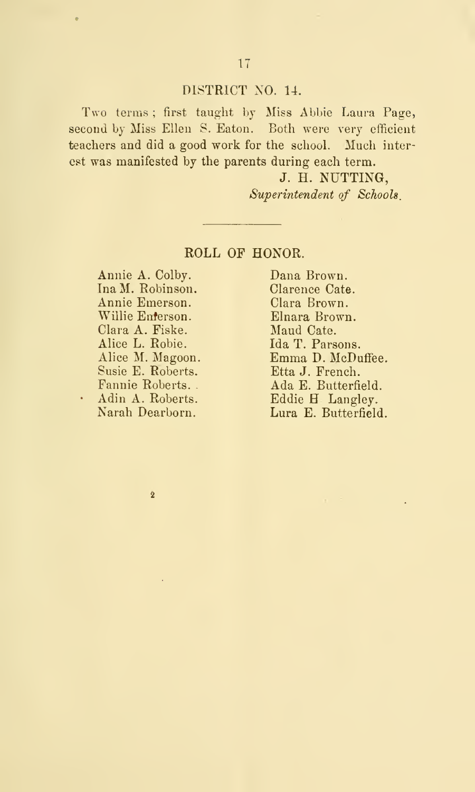## DISTRICT NO. 14.

Two terms; first taught by Miss Abbie Laura Page, second by Miss Ellen S. Eaton. Both were very efficient teachers and did a good work for the school. Much interest was manifested by the parents during each term.

> J. H. NUTTING, Superintendent of Schools.

## ROLL OF HONOR.

Annie A. Colby. Ina M. Robinson. Annie Emerson. Willie Enterson. Clara A. Fiske. Alice L. Robie. Alice M. Magoon. Susie E. Roberts. Fannie Roberts. - Adin A. Roberts. Narah Dearborn.

 $\overline{2}$ 

ä,

Dana Brown. Clarence Cate. Clara Brown. Elnara Brown. Maud Cate.<br>Ida T. Parsons. Emma D. McDuffee. Etta J. French. Ada E. Butterfield. Eddie H Langley. Lura E. Butterfield.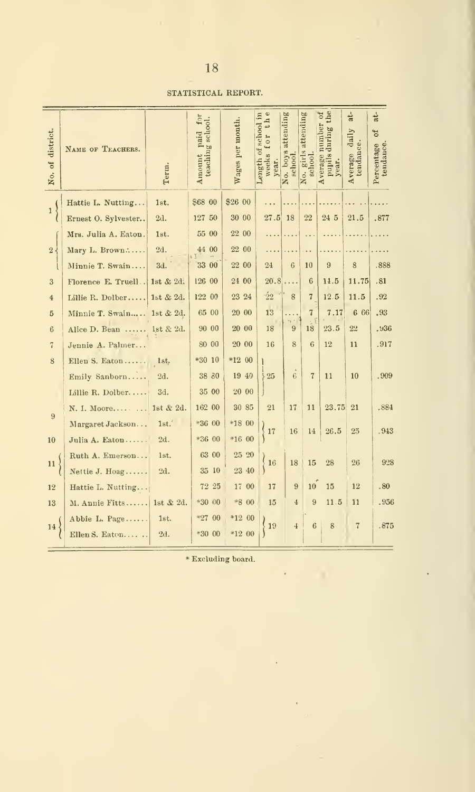## 18

#### STATISTICAL REPORT.

| district.<br>of<br>No. | NAME OF TEACHERS.    | Term.            | for<br>teaching school.<br>Amount paid | Wages per month. | $\ddot{\Phi}$<br>Length of school in<br>t <sub>h</sub><br><b>IOI</b><br>weeks<br>year. | boys attending<br>schoot<br>No. | girls attending<br>school.<br>No. | ð<br>the<br>Average number<br>pupils during<br>year. | åt.<br>daily<br>tendance.<br>Average | at-<br><b>b</b><br>Percentage<br>tendance. |
|------------------------|----------------------|------------------|----------------------------------------|------------------|----------------------------------------------------------------------------------------|---------------------------------|-----------------------------------|------------------------------------------------------|--------------------------------------|--------------------------------------------|
| $\mathbf{1}$           | Hattie L. Nutting    | 1st.             | \$68 00                                | \$26 00          |                                                                                        |                                 |                                   |                                                      |                                      |                                            |
|                        | Ernest O. Sylvester  | 2d.              | 127 50                                 | 30 00            | 27.5                                                                                   | 18                              | 22                                | 24 5                                                 | 21.5                                 | .877                                       |
|                        | Mrs. Julia A. Eaton. | 1st.             | 55 00                                  | 22 00            |                                                                                        |                                 | .                                 |                                                      |                                      |                                            |
| $2\sqrt{ }$            | Mary L. Brown        | 2d.              | 44 00                                  | 22 00            |                                                                                        |                                 | . .                               |                                                      |                                      |                                            |
|                        | Minnie T. Swain      | 3d.              | 33 00                                  | 22 00            | 24                                                                                     | 6                               | 10                                | 9                                                    | 8                                    | .888                                       |
| 3                      | Florence E. Truell   | 1st $& 2d.$      | 126 00                                 | 24 00            | 20.8                                                                                   | .                               | 6                                 | 14.5                                                 | 11.75                                | .81                                        |
| $\overline{4}$         | Lillie R. Dolber     | 1st $& 2d.$      | 122 00                                 | 23 24            | $\cdot 22$                                                                             | 8                               | $\overline{7}$                    | 12.5                                                 | 11.5                                 | .92                                        |
| 5                      | Minnie T. Swain      | 1st $& 2d.$      | 65 00                                  | 20 00            | 13                                                                                     | $\cdots$                        | $\overline{7}$                    | 7.17                                                 | 6 66                                 | .93                                        |
| 6                      | Alice D. Bean        | 1st & 2d.        | 90 00                                  | 20 00            | 18                                                                                     | 9                               | 18                                | 23.5                                                 | 22                                   | .936                                       |
| $\overline{7}$         | Jennie A. Palmer     |                  | 80 00                                  | 20 00            | 16                                                                                     | 8                               | 6                                 | 12                                                   | 11                                   | .917                                       |
| 8                      | Ellen S. Eaton       | 1st <sub>r</sub> | *30 10                                 | *12 00           |                                                                                        |                                 |                                   |                                                      |                                      |                                            |
|                        | Emily Sanborn        | 2d.              | 38 30                                  | 19 40            | $\frac{1}{25}$                                                                         | 6                               | $\overline{7}$                    | 11                                                   | 10                                   | .909                                       |
|                        | Lillie R. Dolber     | 3d.              | 35 00                                  | 20 00            |                                                                                        |                                 |                                   |                                                      |                                      |                                            |
| 9                      | N. I. Moore          | 1st & 2d.        | 162 00                                 | 30 85            | 21                                                                                     | 17                              | 11                                | 23.75                                                | 21                                   | .884                                       |
|                        | Margaret Jackson     | 1st.'            | $*3600$                                | *18 00           | $-17$                                                                                  | 16                              | 14                                | 26.5                                                 | 25                                   | .943                                       |
| 10                     | Julia A. Eaton       | 2d.              | *36 00                                 | *16 00           |                                                                                        |                                 |                                   |                                                      |                                      |                                            |
| 11                     | Ruth A. Emerson      | 1st.             | 63 00                                  | 25 20            | 16                                                                                     | 18                              | 15                                | 28                                                   | 26                                   | 928                                        |
|                        | Nettie J. Hoag       | 2d.              | 35 10                                  | 23 40            |                                                                                        |                                 |                                   |                                                      |                                      |                                            |
| 12                     | Hattie L. Nutting    |                  | 72 25                                  | 17 00            | 17                                                                                     | 9                               | 10 <sup>10</sup>                  | 15                                                   | 12                                   | .80                                        |
| 13                     | M. Annie Fitts       | 1st & 2d.        | $*3000$                                | $*800$           | 15                                                                                     | $\overline{4}$                  | 9                                 | 11.5                                                 | 11                                   | .956                                       |
| 14 <sup>2</sup>        | Abbie L. Page        | 1st.             | $*2700$                                | *12 00           | 19                                                                                     | 4                               | 6                                 | 8                                                    | $\overline{7}$                       | .875                                       |
|                        | Ellen S. Eaton       | 2d.              | *30 00                                 | *12 00           |                                                                                        |                                 |                                   |                                                      |                                      |                                            |

\* Excluding board.

 $\mathbf{r} = \mathbf{r} \times \mathbf{r}$ 

J.

 $\epsilon$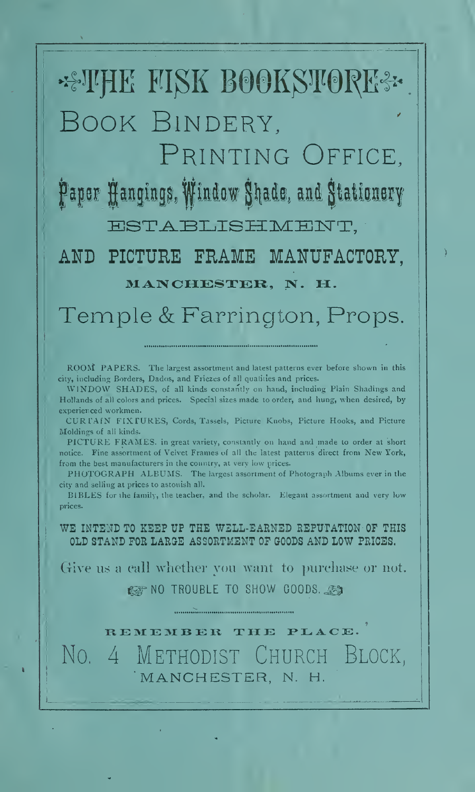# \*\* THE FISK BOOKSTORE\* Book Bindery,

Printing Office, Paper Hangings, Window Shade, and Stationery

ESTABLISHMENT.

AND PICTURE FHAME MANUFACTORY, MANCHESTER, N. H.

Temple & Farrington, Props.

ROOM PAPERS. The largest assortment and latest patterns ever before shown in this city, including Borders, Dados, and Friezes of all qualities and prices.

WINDOW SHADES, of all kinds constantly on hand, including Plain Shadings and Hollands of all colors and prices. Special sizes made to order, and hung, when desired, by experienced workmen.

CURTAIN FIXTURES, Cords, Tassels, Picture Knobs, Picture Hooks, and Picture Moldings of all kinds.

PICTURE FRAMES, in great variety, constantly on hand and made to order at short notice. Fine assortment of Velvet Frames of all the latest patterns direct from New York, from the best manufacturers in the country, at very low prices.

PHOTOGRAPH ALBUMS. The largest assortment of Photograph Albums ever in the city and selling at prices to astonish all.

BIBLES for the lamily, the teacher, and the scholar. Elegant assortment and very low prices.

WE INTEND TO KEEP UP THE WELL-EARNED REPUTATION OF THIS OLD STAND FOR LAROE ASSORTMENT OF GOODS AND LOW PRICES.

Give us a call whether you want to purchase or not. IS NO TROUBLE TO SHOW GOODS, ...

REMEMBER THE PLACE. No. 4 Methodist Church Block, MANCHESTER, N. H.